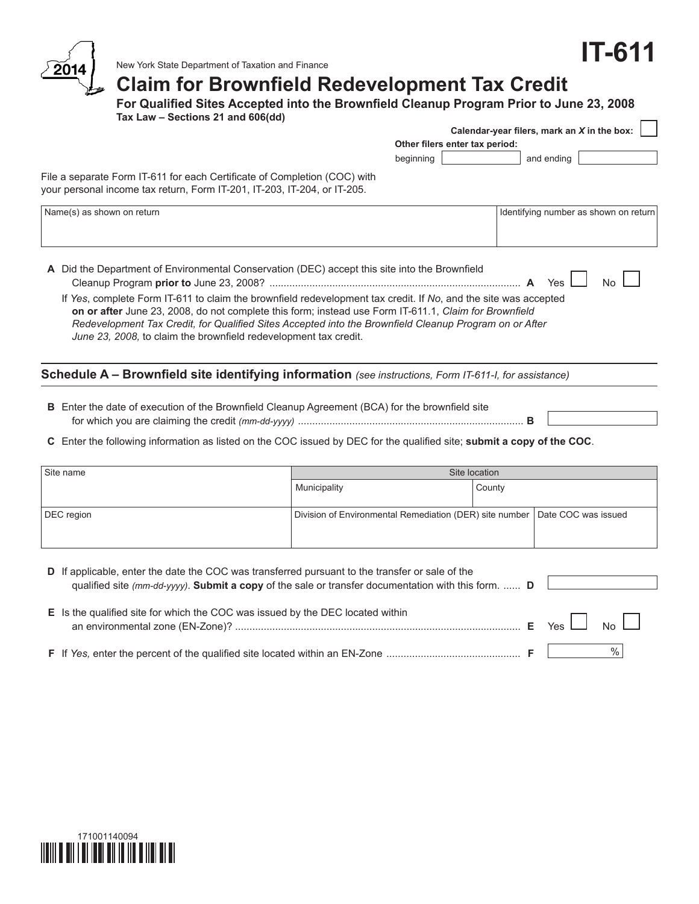# **IT-611**



New York State Department of Taxation and Finance

# **Claim for Brownfield Redevelopment Tax Credit**

**For Qualified Sites Accepted into the Brownfield Cleanup Program Prior to June 23, 2008 Tax Law – Sections 21 and 606(dd) Calendar-year filers, mark an** *X* **in the box:**

|                                                                                                                                                                                                                                                                                                                                                                                                        |                                | Calcitual-year filers, filativial A ill the DOA. |
|--------------------------------------------------------------------------------------------------------------------------------------------------------------------------------------------------------------------------------------------------------------------------------------------------------------------------------------------------------------------------------------------------------|--------------------------------|--------------------------------------------------|
|                                                                                                                                                                                                                                                                                                                                                                                                        | Other filers enter tax period: |                                                  |
|                                                                                                                                                                                                                                                                                                                                                                                                        | beginning                      | and ending                                       |
| File a separate Form IT-611 for each Certificate of Completion (COC) with<br>your personal income tax return, Form IT-201, IT-203, IT-204, or IT-205.                                                                                                                                                                                                                                                  |                                |                                                  |
| Name(s) as shown on return                                                                                                                                                                                                                                                                                                                                                                             |                                | Identifying number as shown on return            |
| A Did the Department of Environmental Conservation (DEC) accept this site into the Brownfield                                                                                                                                                                                                                                                                                                          |                                | Yes<br>N٥                                        |
| If Yes, complete Form IT-611 to claim the brownfield redevelopment tax credit. If No, and the site was accepted<br>on or after June 23, 2008, do not complete this form; instead use Form IT-611.1, Claim for Brownfield<br>Redevelopment Tax Credit, for Qualified Sites Accepted into the Brownfield Cleanup Program on or After<br>June 23, 2008, to claim the brownfield redevelopment tax credit. |                                |                                                  |
| Schedule A - Brownfield site identifying information (see instructions, Form IT-611-I, for assistance)                                                                                                                                                                                                                                                                                                 |                                |                                                  |
| <b>B</b> Enter the date of execution of the Brownfield Cleanup Agreement (BCA) for the brownfield site                                                                                                                                                                                                                                                                                                 |                                |                                                  |

**C** Enter the following information as listed on the COC issued by DEC for the qualified site; **submit a copy of the COC**.

for which you are claiming the credit *(mm-dd-yyyy)* ............................................................................... **B**

| Site name  | Site location                                                                 |        |  |  |  |  |
|------------|-------------------------------------------------------------------------------|--------|--|--|--|--|
|            | Municipality                                                                  | County |  |  |  |  |
|            |                                                                               |        |  |  |  |  |
| DEC region | Division of Environmental Remediation (DER) site number   Date COC was issued |        |  |  |  |  |
|            |                                                                               |        |  |  |  |  |
|            |                                                                               |        |  |  |  |  |

| <b>D</b> If applicable, enter the date the COC was transferred pursuant to the transfer or sale of the<br>qualified site (mm-dd-yyyy). Submit a copy of the sale or transfer documentation with this form.  D |                          |
|---------------------------------------------------------------------------------------------------------------------------------------------------------------------------------------------------------------|--------------------------|
| E Is the qualified site for which the COC was issued by the DEC located within                                                                                                                                | $E$ Yes $\Box$ No $\Box$ |
|                                                                                                                                                                                                               | $\%$                     |

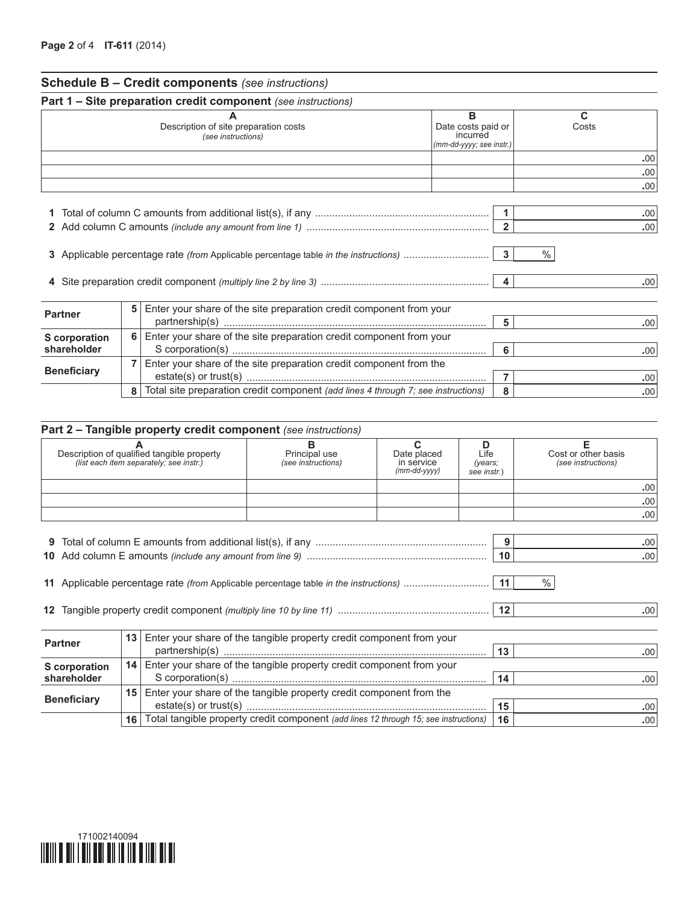| <b>Schedule B - Credit components (see instructions)</b> |  |
|----------------------------------------------------------|--|
|----------------------------------------------------------|--|

|                                     |   | <b>Part 1 – Site preparation credit component</b> (see instructions)              |                                                                 |                              |                         |
|-------------------------------------|---|-----------------------------------------------------------------------------------|-----------------------------------------------------------------|------------------------------|-------------------------|
|                                     |   | Description of site preparation costs<br>(see instructions)                       | в<br>Date costs paid or<br>incurred<br>(mm-dd-yyyy; see instr.) |                              | C<br>Costs              |
|                                     |   |                                                                                   |                                                                 |                              | .00                     |
|                                     |   |                                                                                   |                                                                 |                              | .00.                    |
|                                     |   |                                                                                   |                                                                 |                              | .00                     |
|                                     |   |                                                                                   |                                                                 | $\overline{2}$               | .00 <sub>1</sub><br>.00 |
|                                     |   |                                                                                   |                                                                 | %<br>$\overline{\mathbf{3}}$ |                         |
|                                     |   |                                                                                   |                                                                 |                              | .00 <sub>1</sub>        |
| <b>Partner</b>                      | 5 | Enter your share of the site preparation credit component from your               |                                                                 | 5                            | .00 <sub>1</sub>        |
|                                     | 6 | Enter your share of the site preparation credit component from your               |                                                                 |                              |                         |
| <b>S</b> corporation<br>shareholder |   |                                                                                   |                                                                 | 6                            | .00                     |
| <b>Beneficiary</b>                  | 7 | Enter your share of the site preparation credit component from the                |                                                                 | $\overline{7}$               | .00 <sub>1</sub>        |
|                                     | 8 | Total site preparation credit component (add lines 4 through 7; see instructions) |                                                                 | 8                            | .00 <sub>1</sub>        |

| Description of qualified tangible property |    |                                         | C<br>Principal use<br>Date placed<br>Life                                                 |                                  |                        | F<br>Cost or other basis |
|--------------------------------------------|----|-----------------------------------------|-------------------------------------------------------------------------------------------|----------------------------------|------------------------|--------------------------|
|                                            |    | (list each item separately; see instr.) | (see instructions)                                                                        | in service<br>$(mm$ -dd- $vyyy)$ | (years:<br>see instr.) | (see instructions)       |
|                                            |    |                                         |                                                                                           |                                  |                        | .00                      |
|                                            |    |                                         |                                                                                           |                                  |                        | .00.                     |
|                                            |    |                                         |                                                                                           |                                  |                        | .00                      |
|                                            |    |                                         |                                                                                           |                                  |                        |                          |
|                                            |    |                                         |                                                                                           |                                  | 9                      | .00                      |
|                                            |    |                                         |                                                                                           |                                  | 10                     | .00.                     |
|                                            |    |                                         | 11 Applicable percentage rate (from Applicable percentage table in the instructions)   11 |                                  |                        | $\%$<br>.00 <sub>1</sub> |
|                                            |    |                                         |                                                                                           |                                  |                        |                          |
| <b>Partner</b>                             | 13 |                                         | Enter your share of the tangible property credit component from your                      |                                  | 13                     | .00 <sub>1</sub>         |
| <b>S</b> corporation                       |    |                                         | 14   Enter your share of the tangible property credit component from your                 |                                  |                        |                          |
| shareholder                                |    |                                         |                                                                                           |                                  | 14                     | .00 <sub>1</sub>         |
| <b>Beneficiary</b>                         | 15 |                                         | Enter your share of the tangible property credit component from the                       |                                  |                        |                          |
|                                            |    |                                         |                                                                                           |                                  | 15                     | .00                      |
|                                            | 16 |                                         | Total tangible property credit component (add lines 12 through 15; see instructions)      |                                  | 16                     | .00.                     |

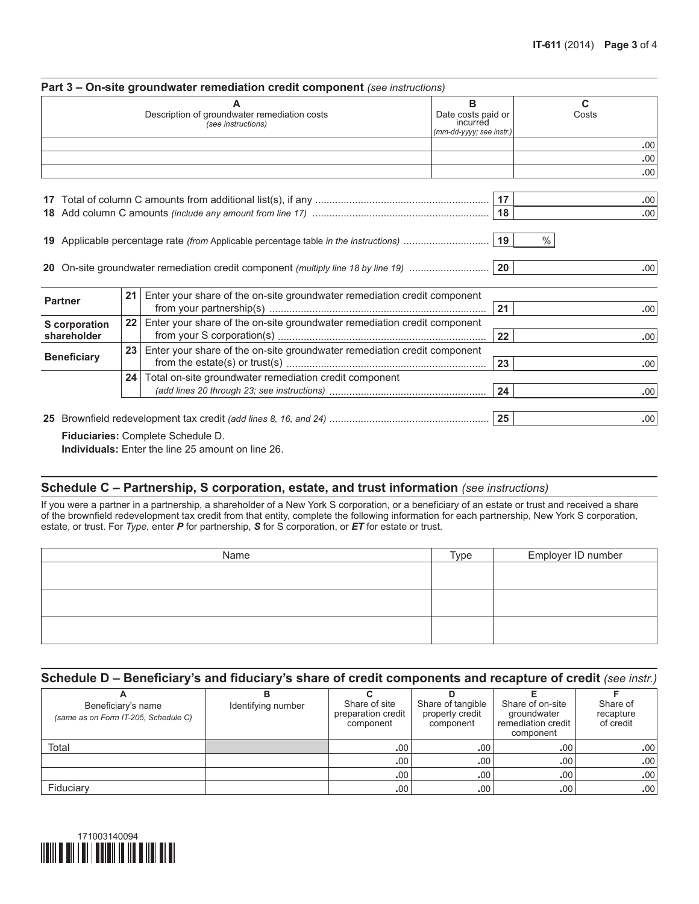|                                 |                 | A<br>Description of groundwater remediation costs                                 | в<br>Date costs paid or<br>incurred | C.<br>Costs        |
|---------------------------------|-----------------|-----------------------------------------------------------------------------------|-------------------------------------|--------------------|
|                                 |                 | (see instructions)                                                                | (mm-dd-yyyy; see instr.)            |                    |
|                                 |                 |                                                                                   |                                     | .00                |
|                                 |                 |                                                                                   |                                     | .00                |
|                                 |                 |                                                                                   |                                     | .00                |
|                                 |                 |                                                                                   |                                     | .00 <sub>1</sub>   |
|                                 |                 |                                                                                   | 18                                  | .00                |
|                                 |                 | 20 On-site groundwater remediation credit component (multiply line 18 by line 19) | 20                                  |                    |
|                                 | 21              | Enter your share of the on-site groundwater remediation credit component          |                                     | .00                |
|                                 |                 |                                                                                   | 21                                  |                    |
| <b>Partner</b><br>S corporation | 22              | Enter your share of the on-site groundwater remediation credit component          |                                     |                    |
| shareholder                     |                 |                                                                                   | 22                                  |                    |
|                                 | 23              | Enter your share of the on-site groundwater remediation credit component          | 23                                  |                    |
| <b>Beneficiary</b>              | 24 <sup>1</sup> | Total on-site groundwater remediation credit component                            |                                     | .00<br>.00 <br>.00 |
|                                 |                 |                                                                                   | 24                                  |                    |
|                                 |                 |                                                                                   |                                     | .00<br>.00         |

**Individuals:** Enter the line 25 amount on line 26.

## **Schedule C – Partnership, S corporation, estate, and trust information** *(see instructions)*

If you were a partner in a partnership, a shareholder of a New York S corporation, or a beneficiary of an estate or trust and received a share of the brownfield redevelopment tax credit from that entity, complete the following information for each partnership, New York S corporation, estate, or trust. For *Type*, enter *P* for partnership, *S* for S corporation, or *ET* for estate or trust.

| Name | Type | Employer ID number |
|------|------|--------------------|
|      |      |                    |
|      |      |                    |
|      |      |                    |
|      |      |                    |
|      |      |                    |
|      |      |                    |

### **Schedule D – Beneficiary's and fiduciary's share of credit components and recapture of credit** *(see instr.)*

| Beneficiary's name<br>(same as on Form IT-205, Schedule C) | Identifying number | Share of site<br>preparation credit<br>component | Share of tangible<br>property credit<br>component | Share of on-site<br>groundwater<br>remediation credit<br>component | Share of<br>recapture<br>of credit |
|------------------------------------------------------------|--------------------|--------------------------------------------------|---------------------------------------------------|--------------------------------------------------------------------|------------------------------------|
| Total                                                      |                    | .00.                                             | .00 <sub>1</sub>                                  | .00 <sup>1</sup>                                                   | .00.                               |
|                                                            |                    | .00 <sub>1</sub>                                 | .00.                                              | .00 <sub>1</sub>                                                   | .00                                |
|                                                            |                    | .00 <sub>1</sub>                                 | .00 <sub>1</sub>                                  | .00 <sub>1</sub>                                                   | .00                                |
| Fiduciary                                                  |                    | .00 <sup>1</sup>                                 | .00.                                              | .00                                                                | .00                                |